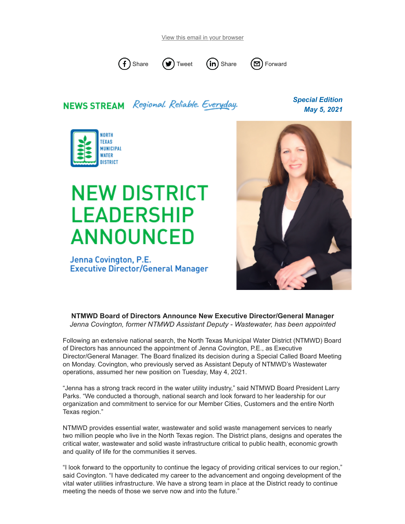[View this email in your browser](https://mailchi.mp/ntmwd/newsstream-special-6077345?e=29b2448e5c)



## **NEWS STREAM** Regional. Reliable. Everyday.

*Special Edition May 5, 2021*



## **NEW DISTRICT LEADERSHIP ANNOUNCED**

Jenna Covington, P.E. **Executive Director/General Manager** 



**NTMWD Board of Directors Announce New Executive Director/General Manager** *Jenna Covington, former NTMWD Assistant Deputy - Wastewater, has been appointed*

Following an extensive national search, the North Texas Municipal Water District (NTMWD) Board of Directors has announced the appointment of Jenna Covington, P.E., as Executive Director/General Manager. The Board finalized its decision during a Special Called Board Meeting on Monday. Covington, who previously served as Assistant Deputy of NTMWD's Wastewater operations, assumed her new position on Tuesday, May 4, 2021.

"Jenna has a strong track record in the water utility industry," said NTMWD Board President Larry Parks. "We conducted a thorough, national search and look forward to her leadership for our organization and commitment to service for our Member Cities, Customers and the entire North Texas region."

NTMWD provides essential water, wastewater and solid waste management services to nearly two million people who live in the North Texas region. The District plans, designs and operates the critical water, wastewater and solid waste infrastructure critical to public health, economic growth and quality of life for the communities it serves.

"I look forward to the opportunity to continue the legacy of providing critical services to our region," said Covington. "I have dedicated my career to the advancement and ongoing development of the vital water utilities infrastructure. We have a strong team in place at the District ready to continue meeting the needs of those we serve now and into the future."